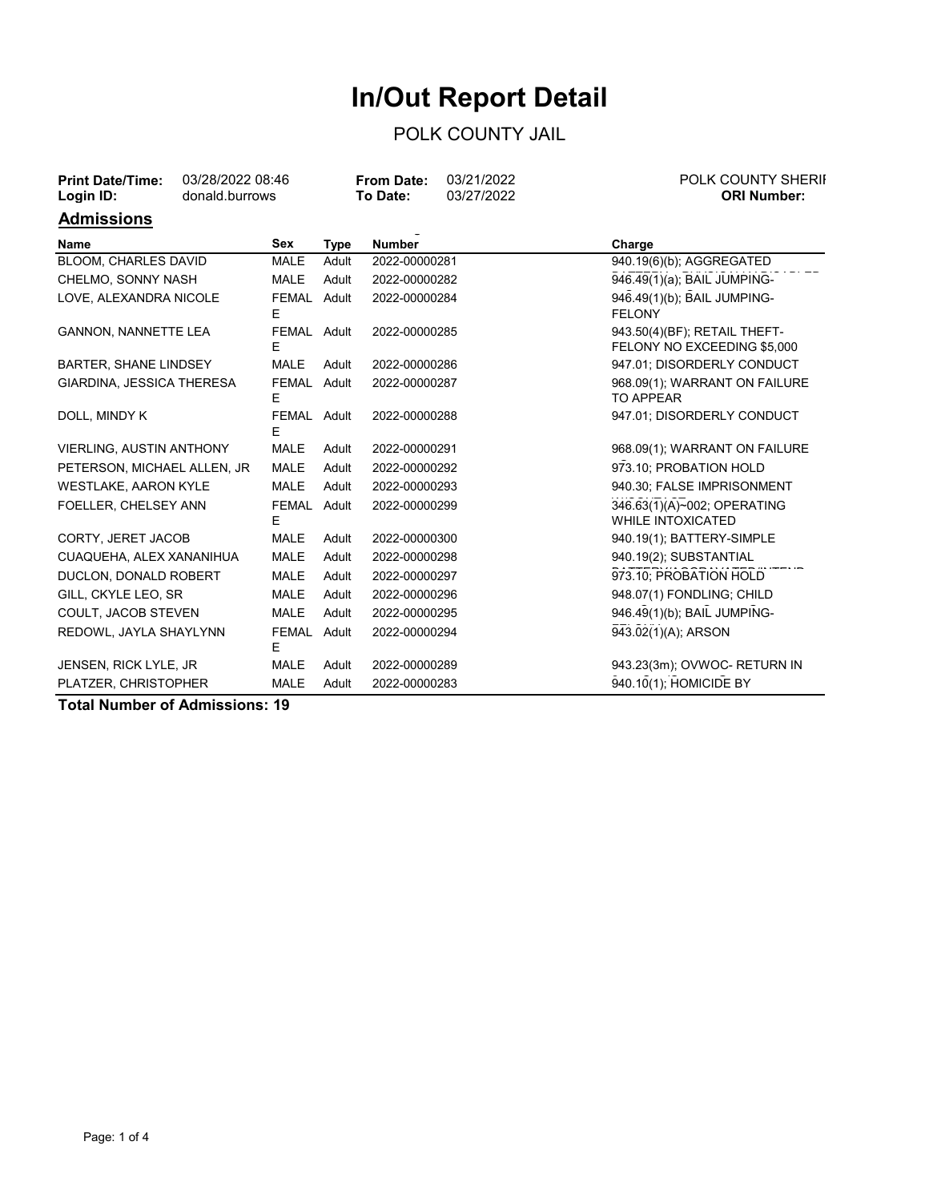## **In/Out Report Detail**

## POLK COUNTY JAIL

| <b>Print Date/Time:</b><br>Login ID: | 03/28/2022 08:46<br>donald.burrows |                  |             | 03/21/2022<br><b>From Date:</b><br>03/27/2022<br>To Date: | <b>POLK COUNTY SHERII</b><br><b>ORI Number:</b>             |  |
|--------------------------------------|------------------------------------|------------------|-------------|-----------------------------------------------------------|-------------------------------------------------------------|--|
| <b>Admissions</b>                    |                                    |                  |             |                                                           |                                                             |  |
| Name                                 |                                    | Sex              | <b>Type</b> | <b>Number</b>                                             | Charge                                                      |  |
| <b>BLOOM, CHARLES DAVID</b>          |                                    | <b>MALE</b>      | Adult       | 2022-00000281                                             | 940.19(6)(b); AGGREGATED                                    |  |
| CHELMO, SONNY NASH                   |                                    | <b>MALE</b>      | Adult       | 2022-00000282                                             | 946.49(1)(a); BAIL JUMPING-                                 |  |
| LOVE, ALEXANDRA NICOLE               |                                    | FEMAL Adult<br>E |             | 2022-00000284                                             | 946.49(1)(b); BAIL JUMPING-<br><b>FELONY</b>                |  |
| <b>GANNON, NANNETTE LEA</b>          |                                    | FEMAL Adult<br>E |             | 2022-00000285                                             | 943.50(4)(BF); RETAIL THEFT-<br>FELONY NO EXCEEDING \$5,000 |  |
| <b>BARTER, SHANE LINDSEY</b>         |                                    | <b>MALE</b>      | Adult       | 2022-00000286                                             | 947.01; DISORDERLY CONDUCT                                  |  |
| GIARDINA, JESSICA THERESA            |                                    | FEMAL Adult<br>E |             | 2022-00000287                                             | 968.09(1); WARRANT ON FAILURE<br>TO APPEAR                  |  |
| DOLL, MINDY K                        |                                    | FEMAL Adult<br>E |             | 2022-00000288                                             | 947.01; DISORDERLY CONDUCT                                  |  |
| <b>VIERLING, AUSTIN ANTHONY</b>      |                                    | <b>MALE</b>      | Adult       | 2022-00000291                                             | 968.09(1); WARRANT ON FAILURE                               |  |
| PETERSON, MICHAEL ALLEN, JR          |                                    | <b>MALE</b>      | Adult       | 2022-00000292                                             | 973.10; PROBATION HOLD                                      |  |
| WESTLAKE, AARON KYLE                 |                                    | <b>MALE</b>      | Adult       | 2022-00000293                                             | 940.30; FALSE IMPRISONMENT                                  |  |
| FOELLER, CHELSEY ANN                 |                                    | FEMAL Adult<br>E |             | 2022-00000299                                             | 346.63(1)(A)~002; OPERATING<br><b>WHILE INTOXICATED</b>     |  |
| CORTY, JERET JACOB                   |                                    | <b>MALE</b>      | Adult       | 2022-00000300                                             | 940.19(1); BATTERY-SIMPLE                                   |  |
| CUAQUEHA, ALEX XANANIHUA             |                                    | <b>MALE</b>      | Adult       | 2022-00000298                                             | 940.19(2); SUBSTANTIAL                                      |  |
| DUCLON, DONALD ROBERT                |                                    | <b>MALE</b>      | Adult       | 2022-00000297                                             | 973.10; PROBATION HOLD                                      |  |
| GILL, CKYLE LEO, SR                  |                                    | <b>MALE</b>      | Adult       | 2022-00000296                                             | 948.07(1) FONDLING; CHILD                                   |  |
| COULT, JACOB STEVEN                  |                                    | <b>MALE</b>      | Adult       | 2022-00000295                                             | 946.49(1)(b); BAIL JUMPING-                                 |  |
| REDOWL, JAYLA SHAYLYNN               |                                    | FEMAL Adult<br>E |             | 2022-00000294                                             | 943.02(1)(A); ARSON                                         |  |
| JENSEN, RICK LYLE, JR                |                                    | <b>MALE</b>      | Adult       | 2022-00000289                                             | 943.23(3m); OVWOC- RETURN IN                                |  |
| PLATZER, CHRISTOPHER                 |                                    | <b>MALE</b>      | Adult       | 2022-00000283                                             | 940.10(1); HOMICIDE BY                                      |  |

NEGLIGENT OPERATION/VEHICLE

**Total Number of Admissions: 19**